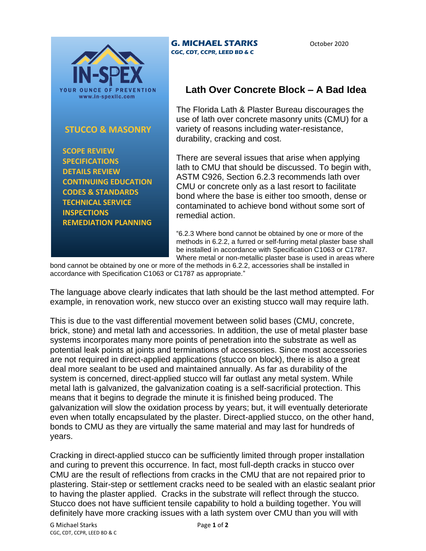

## **STUCCO & MASONRY**

 **SCOPE REVIEW SPECIFICATIONS DETAILS REVIEW CONTINUING EDUCATION CODES & STANDARDS TECHNICAL SERVICE INSPECTIONS REMEDIATION PLANNING**

## **G. MICHAEL STARKS CGC, CDT, CCPR, LEED BD & C**

October 2020

## **Lath Over Concrete Block – A Bad Idea**

The Florida Lath & Plaster Bureau discourages the use of lath over concrete masonry units (CMU) for a variety of reasons including water-resistance, durability, cracking and cost.

There are several issues that arise when applying lath to CMU that should be discussed. To begin with, ASTM C926, Section 6.2.3 recommends lath over CMU or concrete only as a last resort to facilitate bond where the base is either too smooth, dense or contaminated to achieve bond without some sort of remedial action.

"6.2.3 Where bond cannot be obtained by one or more of the methods in 6.2.2, a furred or self-furring metal plaster base shall be installed in accordance with Specification C1063 or C1787. Where metal or non-metallic plaster base is used in areas where

bond cannot be obtained by one or more of the methods in 6.2.2, accessories shall be installed in accordance with Specification C1063 or C1787 as appropriate."

The language above clearly indicates that lath should be the last method attempted. For example, in renovation work, new stucco over an existing stucco wall may require lath.

This is due to the vast differential movement between solid bases (CMU, concrete, brick, stone) and metal lath and accessories. In addition, the use of metal plaster base systems incorporates many more points of penetration into the substrate as well as potential leak points at joints and terminations of accessories. Since most accessories are not required in direct-applied applications (stucco on block), there is also a great deal more sealant to be used and maintained annually. As far as durability of the system is concerned, direct-applied stucco will far outlast any metal system. While metal lath is galvanized, the galvanization coating is a self-sacrificial protection. This means that it begins to degrade the minute it is finished being produced. The galvanization will slow the oxidation process by years; but, it will eventually deteriorate even when totally encapsulated by the plaster. Direct-applied stucco, on the other hand, bonds to CMU as they are virtually the same material and may last for hundreds of years.

Cracking in direct-applied stucco can be sufficiently limited through proper installation and curing to prevent this occurrence. In fact, most full-depth cracks in stucco over CMU are the result of reflections from cracks in the CMU that are not repaired prior to plastering. Stair-step or settlement cracks need to be sealed with an elastic sealant prior to having the plaster applied. Cracks in the substrate will reflect through the stucco. Stucco does not have sufficient tensile capability to hold a building together. You will definitely have more cracking issues with a lath system over CMU than you will with